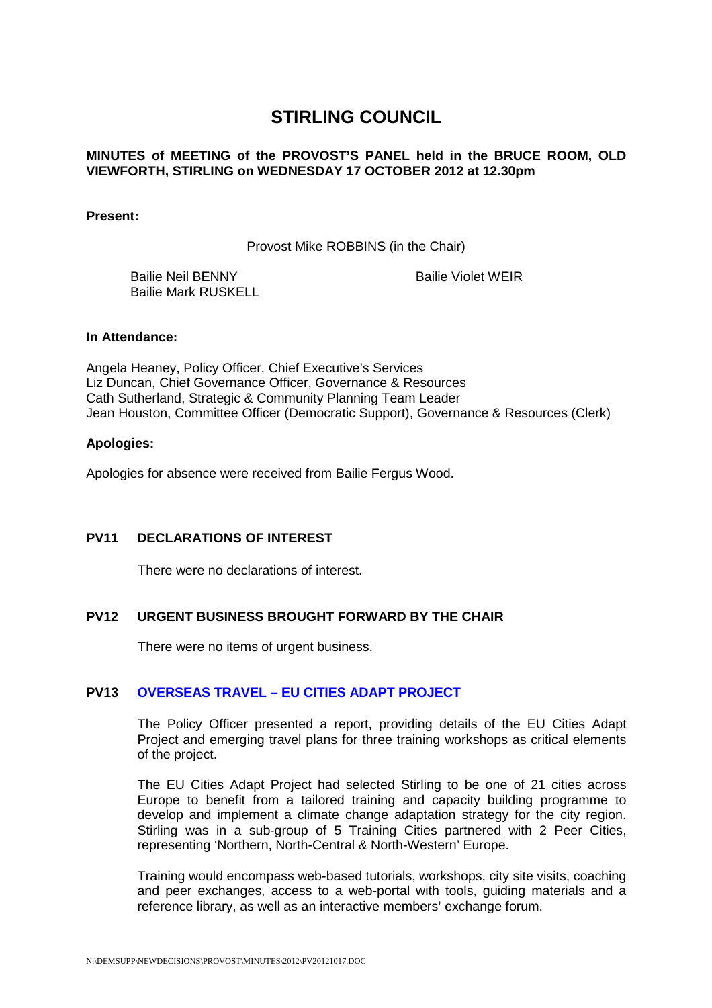# **STIRLING COUNCIL**

# **MINUTES of MEETING of the PROVOST'S PANEL held in the BRUCE ROOM, OLD VIEWFORTH, STIRLING on WEDNESDAY 17 OCTOBER 2012 at 12.30pm**

**Present:** 

Provost Mike ROBBINS (in the Chair)

 Bailie Neil BENNY Bailie Mark RUSKELL Bailie Violet WEIR

#### **In Attendance:**

Angela Heaney, Policy Officer, Chief Executive's Services Liz Duncan, Chief Governance Officer, Governance & Resources Cath Sutherland, Strategic & Community Planning Team Leader Jean Houston, Committee Officer (Democratic Support), Governance & Resources (Clerk)

#### **Apologies:**

Apologies for absence were received from Bailie Fergus Wood.

# **PV11 DECLARATIONS OF INTEREST**

There were no declarations of interest.

# **PV12 URGENT BUSINESS BROUGHT FORWARD BY THE CHAIR**

There were no items of urgent business.

# **PV13 OVERSEAS TRAVEL – EU CITIES ADAPT PROJECT**

The Policy Officer presented a report, providing details of the EU Cities Adapt Project and emerging travel plans for three training workshops as critical elements of the project.

The EU Cities Adapt Project had selected Stirling to be one of 21 cities across Europe to benefit from a tailored training and capacity building programme to develop and implement a climate change adaptation strategy for the city region. Stirling was in a sub-group of 5 Training Cities partnered with 2 Peer Cities, representing 'Northern, North-Central & North-Western' Europe.

Training would encompass web-based tutorials, workshops, city site visits, coaching and peer exchanges, access to a web-portal with tools, guiding materials and a reference library, as well as an interactive members' exchange forum.